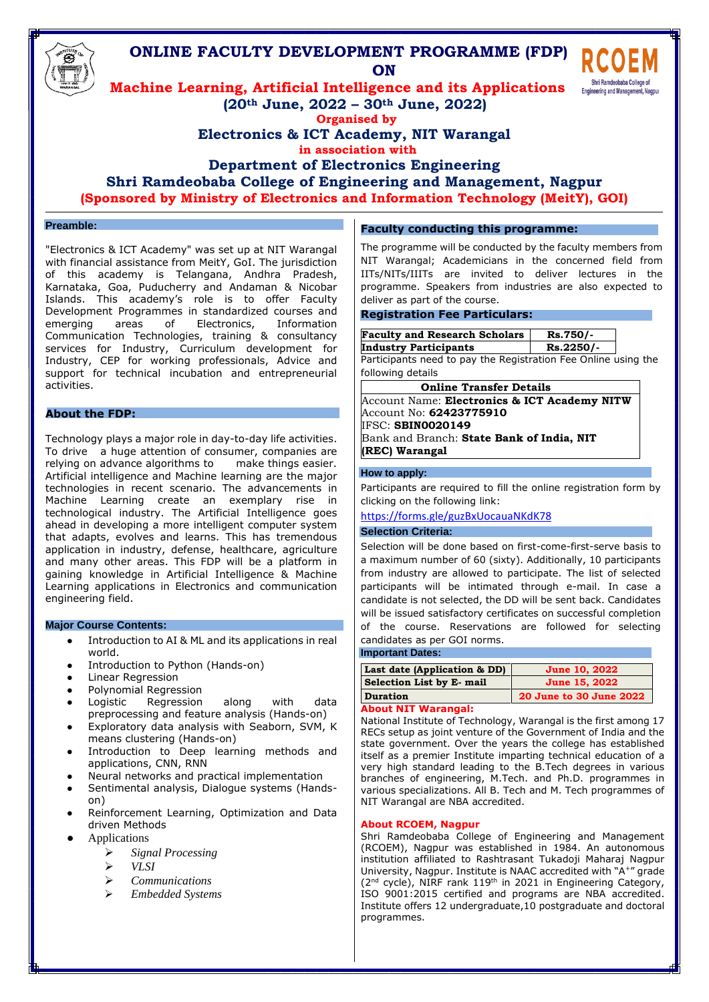

## **Preamble:**

"Electronics & ICT Academy" was set up at NIT Warangal with financial assistance from MeitY, GoI. The jurisdiction of this academy is Telangana, Andhra Pradesh, Karnataka, Goa, Puducherry and Andaman & Nicobar Islands. This academy's role is to offer Faculty Development Programmes in standardized courses and emerging areas of Electronics, Information Communication Technologies, training & consultancy services for Industry, Curriculum development for Industry, CEP for working professionals, Advice and support for technical incubation and entrepreneurial activities.

## **About the FDP:**

Technology plays a major role in day-to-day life activities. To drive a huge attention of consumer, companies are relying on advance algorithms to make things easier. [Artificial](https://www.ibm.com/cloud/learn/what-is-artificial-intelligence) [intelligence a](https://www.ibm.com/cloud/learn/what-is-artificial-intelligence)nd [Machine learning a](https://www.ibm.com/cloud/learn/machine-learning)re the major technologies in recent scenario. The advancements in Machine Learning create an exemplary rise in technological industry. The Artificial Intelligence goes ahead in developing a more intelligent computer system that adapts, evolves and learns. This has tremendous application in industry, defense, healthcare, agriculture and many other areas. This FDP will be a platform in gaining knowledge in Artificial Intelligence & Machine Learning applications in Electronics and communication engineering field.

### **Major Course Contents:**

- Introduction to AI & ML and its applications in real world.
- Introduction to Python (Hands-on)
- **Linear Regression**
- 
- Polynomial Regression<br>Logistic Regression Regression along with data preprocessing and feature analysis (Hands-on)
- Exploratory data analysis with Seaborn, SVM, K means clustering (Hands-on)
- Introduction to Deep learning methods and applications, CNN, RNN
- Neural networks and practical implementation
- Sentimental analysis, Dialogue systems (Handson)
- Reinforcement Learning, Optimization and Data driven Methods
- **Applications** 
	- ➢ *Signal Processing*
	- ➢ *VLSI*
		- ➢ *Communications*
		- ➢ *Embedded Systems*

## **Faculty conducting this programme:**

The programme will be conducted by the faculty members from NIT Warangal; Academicians in the concerned field from IITs/NITs/IIITs are invited to deliver lectures in the programme. Speakers from industries are also expected to deliver as part of the course.

### **Registration Fee Particulars:**

| <b>Faculty and Research Scholars</b> | Rs.750/-  |
|--------------------------------------|-----------|
| <b>Industry Participants</b>         | Rs.2250/- |

Participants need to pay the Registration Fee Online using the following details

| <b>Online Transfer Details</b>                   |  |  |
|--------------------------------------------------|--|--|
| Account Name: Electronics & ICT Academy NITW     |  |  |
| Account No: <b>62423775910</b>                   |  |  |
| IFSC: SBIN0020149                                |  |  |
| Bank and Branch: <b>State Bank of India, NIT</b> |  |  |
| (REC) Warangal                                   |  |  |

### **How to apply:**

Participants are required to fill the online registration form by clicking on the following link:

<https://forms.gle/guzBxUocauaNKdK78>

## **Selection Criteria:**

Selection will be done based on first-come-first-serve basis to a maximum number of 60 (sixty). Additionally, 10 participants from industry are allowed to participate. The list of selected participants will be intimated through e-mail. In case a candidate is not selected, the DD will be sent back. Candidates will be issued satisfactory certificates on successful completion of the course. Reservations are followed for selecting candidates as per GOI norms.

## **Important Dates:**

| Last date (Application & DD) | <b>June 10, 2022</b>    |
|------------------------------|-------------------------|
| Selection List by E- mail    | June 15, 2022           |
| <b>Duration</b>              | 20 June to 30 June 2022 |
|                              |                         |

## **About NIT Warangal:**

National Institute of Technology, Warangal is the first among 17 RECs setup as joint venture of the Government of India and the state government. Over the years the college has established itself as a premier Institute imparting technical education of a very high standard leading to the B.Tech degrees in various branches of engineering, M.Tech. and Ph.D. programmes in various specializations. All B. Tech and M. Tech programmes of NIT Warangal are NBA accredited.

## **About RCOEM, Nagpur**

Shri Ramdeobaba College of Engineering and Management (RCOEM), Nagpur was established in 1984. An autonomous institution affiliated to Rashtrasant Tukadoji Maharaj Nagpur University, Nagpur. Institute is NAAC accredited with "A<sup>+</sup>" grade (2<sup>nd</sup> cycle), NIRF rank 119<sup>th</sup> in 2021 in Engineering Category, ISO 9001:2015 certified and programs are NBA accredited. Institute offers 12 undergraduate,10 postgraduate and doctoral programmes.